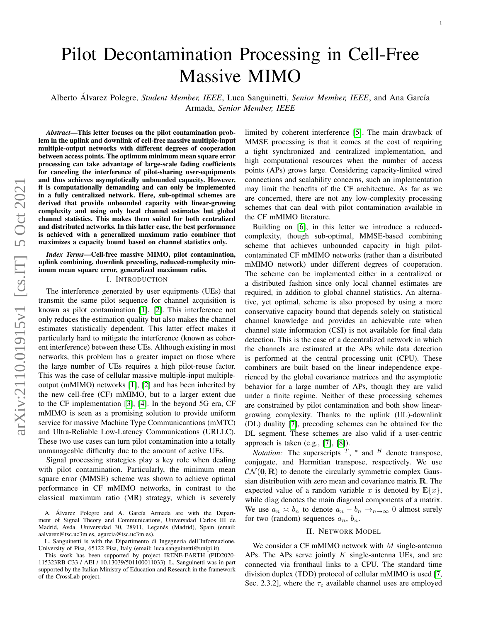# Pilot Decontamination Processing in Cell-Free Massive MIMO

Alberto Álvarez Polegre, Student Member, IEEE, Luca Sanguinetti, Senior Member, IEEE, and Ana García Armada, *Senior Member, IEEE*

*Abstract*—This letter focuses on the pilot contamination problem in the uplink and downlink of cell-free massive multiple-input multiple-output networks with different degrees of cooperation between access points. The optimum minimum mean square error processing can take advantage of large-scale fading coefficients for canceling the interference of pilot-sharing user-equipments and thus achieves asymptotically unbounded capacity. However, it is computationally demanding and can only be implemented in a fully centralized network. Here, sub-optimal schemes are derived that provide unbounded capacity with linear-growing complexity and using only local channel estimates but global channel statistics. This makes them suited for both centralized and distributed networks. In this latter case, the best performance is achieved with a generalized maximum ratio combiner that maximizes a capacity bound based on channel statistics only.

## *Index Terms*—Cell-free massive MIMO, pilot contamination, uplink combining, downlink precoding, reduced-complexity minimum mean square error, generalized maximum ratio.

## I. INTRODUCTION

The interference generated by user equipments (UEs) that transmit the same pilot sequence for channel acquisition is known as pilot contamination [\[1\]](#page-4-0), [\[2\]](#page-4-1). This interference not only reduces the estimation quality but also makes the channel estimates statistically dependent. This latter effect makes it particularly hard to mitigate the interference (known as coherent interference) between these UEs. Although existing in most networks, this problem has a greater impact on those where the large number of UEs requires a high pilot-reuse factor. This was the case of cellular massive multiple-input multipleoutput (mMIMO) networks [\[1\]](#page-4-0), [\[2\]](#page-4-1) and has been inherited by the new cell-free (CF) mMIMO, but to a larger extent due to the CF implementation [\[3\]](#page-4-2), [\[4\]](#page-4-3). In the beyond 5G era, CF mMIMO is seen as a promising solution to provide uniform service for massive Machine Type Communicantions (mMTC) and Ultra-Reliable Low-Latency Communications (URLLC). These two use cases can turn pilot contamination into a totally unmanageable difficulty due to the amount of active UEs.

Signal processing strategies play a key role when dealing with pilot contamination. Particularly, the minimum mean square error (MMSE) scheme was shown to achieve optimal performance in CF mMIMO networks, in contrast to the classical maximum ratio (MR) strategy, which is severely

limited by coherent interference [\[5\]](#page-4-4). The main drawback of MMSE processing is that it comes at the cost of requiring a tight synchronized and centralized implementation, and high computational resources when the number of access points (APs) grows large. Considering capacity-limited wired connections and scalability concerns, such an implementation may limit the benefits of the CF architecture. As far as we are concerned, there are not any low-complexity processing schemes that can deal with pilot contamination available in the CF mMIMO literature.

Building on [\[6\]](#page-4-5), in this letter we introduce a reducedcomplexity, though sub-optimal, MMSE-based combining scheme that achieves unbounded capacity in high pilotcontaminated CF mMIMO networks (rather than a distributed mMIMO network) under different degrees of cooperation. The scheme can be implemented either in a centralized or a distributed fashion since only local channel estimates are required, in addition to global channel statistics. An alternative, yet optimal, scheme is also proposed by using a more conservative capacity bound that depends solely on statistical channel knowledge and provides an achievable rate when channel state information (CSI) is not available for final data detection. This is the case of a decentralized network in which the channels are estimated at the APs while data detection is performed at the central processing unit (CPU). These combiners are built based on the linear independence experienced by the global covariance matrices and the asymptotic behavior for a large number of APs, though they are valid under a finite regime. Neither of these processing schemes are constrained by pilot contamination and both show lineargrowing complexity. Thanks to the uplink (UL)-downlink (DL) duality [\[7\]](#page-4-6), precoding schemes can be obtained for the DL segment. These schemes are also valid if a user-centric approach is taken (e.g., [\[7\]](#page-4-6), [\[8\]](#page-4-7)).

*Notation:* The superscripts  $^T$ ,  $^*$  and  $^H$  denote transpose, conjugate, and Hermitian transpose, respectively. We use  $\mathcal{CN}(\mathbf{0},\mathbf{R})$  to denote the circularly symmetric complex Gaussian distribution with zero mean and covariance matrix R. The expected value of a random variable x is denoted by  $\mathbb{E}\{x\}$ , while diag denotes the main diagonal components of a matrix. We use  $a_n \simeq b_n$  to denote  $a_n - b_n \rightarrow_{n \to \infty} 0$  almost surely for two (random) sequences  $a_n$ ,  $b_n$ .

## II. NETWORK MODEL

We consider a CF mMIMO network with  $M$  single-antenna APs. The APs serve jointly  $K$  single-antenna UEs, and are connected via fronthaul links to a CPU. The standard time division duplex (TDD) protocol of cellular mMIMO is used [\[7,](#page-4-6) Sec. 2.3.2], where the  $\tau_c$  available channel uses are employed

A. Álvarez Polegre and A. García Armada are with the Department of Signal Theory and Communications, Universidad Carlos III de Madrid, Avda. Universidad 30, 28911, Leganés (Madrid), Spain (email: aalvarez@tsc.uc3m.es, agarcia@tsc.uc3m.es).

L. Sanguinetti is with the Dipartimento di Ingegneria dell'Informazione, University of Pisa, 65122 Pisa, Italy (email: luca.sanguinetti@unipi.it).

This work has been supported by project IRENE-EARTH (PID2020- 115323RB-C33 / AEI / 10.13039/501100011033). L. Sanguinetti was in part supported by the Italian Ministry of Education and Research in the framework of the CrossLab project.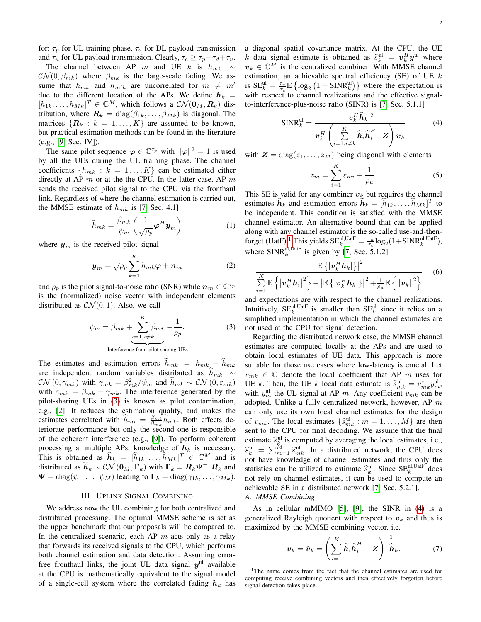for:  $\tau_p$  for UL training phase,  $\tau_d$  for DL payload transmission and  $\tau_u$  for UL payload transmission. Clearly,  $\tau_c \geq \tau_p + \tau_d + \tau_u$ .

The channel between AP m and UE k is  $h_{mk} \sim$  $\mathcal{CN}(0,\beta_{mk})$  where  $\beta_{mk}$  is the large-scale fading. We assume that  $h_{mk}$  and  $h_{m'k}$  are uncorrelated for  $m \neq m'$ due to the different location of the APs. We define  $h_k =$  $[h_{1k},...,h_{Mk}]^T \in \mathbb{C}^M$ , which follows a  $\mathcal{CN}(\mathbf{0}_M,\mathbf{R}_k)$  distribution, where  $\mathbf{R}_k = \text{diag}(\beta_{1k}, \dots, \beta_{Mk})$  is diagonal. The matrices  $\{R_k : k = 1, ..., K\}$  are assumed to be known, but practical estimation methods can be found in the literature (e.g., [\[9,](#page-4-8) Sec. IV]).

The same pilot sequence  $\varphi \in \mathbb{C}^{\tau_p}$  with  $\|\varphi\|^2 = 1$  is used by all the UEs during the UL training phase. The channel coefficients  $\{h_{mk} : k = 1, ..., K\}$  can be estimated either directly at AP  $m$  or at the the CPU. In the latter case, AP  $m$ sends the received pilot signal to the CPU via the fronthaul link. Regardless of where the channel estimation is carried out, the MMSE estimate of  $h_{mk}$  is [\[7,](#page-4-6) Sec. 4.1]

$$
\widehat{h}_{mk} = \frac{\beta_{mk}}{\psi_m} \left( \frac{1}{\sqrt{\rho_p}} \boldsymbol{\varphi}^H \boldsymbol{y}_m \right)
$$
(1)

where  $y_m$  is the received pilot signal

$$
\boldsymbol{y}_m = \sqrt{\rho_p} \sum_{k=1}^K h_{mk} \boldsymbol{\varphi} + \boldsymbol{n}_m \tag{2}
$$

and  $\rho_p$  is the pilot signal-to-noise ratio (SNR) while  $n_m \in \mathbb{C}^{\tau_p}$ is the (normalized) noise vector with independent elements distributed as  $CN(0, 1)$ . Also, we call

<span id="page-1-0"></span>
$$
\psi_m = \beta_{mk} + \underbrace{\sum_{i=1, i \neq k}^{K} \beta_{mi}}_{\text{Interference from pilot-sharing UEs}} + \frac{1}{\rho_p}.
$$
\n(3)

The estimates and estimation errors  $h_{mk} = h_{mk} - h_{mk}$ are independent random variables distributed as  $h_{mk} \sim$  $\mathcal{CN}(0, \gamma_{mk})$  with  $\gamma_{mk} = \frac{\beta_{mk}^2}{\psi_{mk}} / \psi_m$  and  $\tilde{h}_{mk} \sim \mathcal{CN}(0, \varepsilon_{mk})$ with  $\varepsilon_{mk} = \beta_{mk} - \gamma_{mk}$ . The interference generated by the pilot-sharing UEs in [\(3\)](#page-1-0) is known as pilot contamination, e.g., [\[2\]](#page-4-1). It reduces the estimation quality, and makes the estimates correlated with  $\hat{h}_{mi} = \frac{\beta_{mi}}{\beta_{mk}} \hat{h}_{mk}$ . Both effects deteriorate performance but only the second one is responsible of the coherent interference (e.g., [\[9\]](#page-4-8)). To perform coherent processing at multiple APs, knowledge of  $h_k$  is necessary. This is obtained as  $\widehat{h}_k = [\widehat{h}_{1k}, \dots, \widehat{h}_{Mk}]^T \in \mathbb{C}^M$  and is distributed as  $\hat{h}_k \sim \mathcal{CN}(\mathbf{0}_M,\Gamma_k)$  with  $\Gamma_k = \mathbf{R}_k \mathbf{\Psi}^{-1} \mathbf{R}_k$  and  $\Psi = \text{diag}(\psi_1, \dots, \psi_M)$  leading to  $\Gamma_k = \text{diag}(\gamma_{1k}, \dots, \gamma_{Mk}).$ 

## III. UPLINK SIGNAL COMBINING

We address now the UL combining for both centralized and distributed processing. The optimal MMSE scheme is set as the upper benchmark that our proposals will be compared to. In the centralized scenario, each AP  $m$  acts only as a relay that forwards its received signals to the CPU, which performs both channel estimation and data detection. Assuming errorfree fronthaul links, the joint UL data signal  $y^{\text{ul}}$  available at the CPU is mathematically equivalent to the signal model of a single-cell system where the correlated fading  $h_k$  has a diagonal spatial covariance matrix. At the CPU, the UE k data signal estimate is obtained as  $\hat{s}_{k}^{\text{ul}} = v_{k}^{H} y^{\text{ul}}$  where  $v_k \in \mathbb{C}^M$  is the centralized combiner. With MMSE channel estimation, an achievable spectral efficiency (SE) of UE  $k$ is  $SE_k^{\text{ul}} = \frac{\tau_u}{\tau_c} \mathbb{E} \left\{ \log_2 \left( 1 + \text{SINR}_k^{\text{ul}} \right) \right\}$  where the expectation is with respect to channel realizations and the effective signalto-interference-plus-noise ratio (SINR) is [\[7,](#page-4-6) Sec. 5.1.1]

<span id="page-1-2"></span>
$$
\text{SINR}_{k}^{\text{ul}} = \frac{|v_{k}^{H}\hat{h}_{k}|^{2}}{v_{k}^{H}\left(\sum_{i=1, i\neq k}^{K}\hat{h}_{i}\hat{h}_{i}^{H} + Z\right)v_{k}}
$$
(4)

with  $\mathbf{Z} = \text{diag}(z_1, \dots, z_M)$  being diagonal with elements

$$
z_m = \sum_{i=1}^{K} \varepsilon_{mi} + \frac{1}{\rho_u}.
$$
 (5)

This SE is valid for any combiner  $v_k$  but requires the channel estimates  $\hat{h}_k$  and estimation errors  $\hat{h}_k = [\hat{h}_{1k}, \dots, \hat{h}_{Mk}]^T$  to be independent. This condition is satisfied with the MMSE channel estimator. An alternative bound that can be applied along with any channel estimator is the so-called use-and-then-forget (UatF).<sup>[1](#page-1-1)</sup> This yields  $SE_k^{\text{ul,UatF}} = \frac{\tau_u}{\tau_c} \log_2(1 + \text{SINR}_k^{\text{ul,UatF}})$ , where  $SINR_k^{ul,UatF}$  is given by [\[7,](#page-4-6) Sec. 5.1.2]

<span id="page-1-4"></span>
$$
\frac{\left|\mathbb{E}\left\{\left|\boldsymbol{v}_{k}^{H}\boldsymbol{h}_{k}\right|\right\}\right|^{2}}{\sum\limits_{i=1}^{K}\mathbb{E}\left\{\left|\boldsymbol{v}_{k}^{H}\boldsymbol{h}_{i}\right|^{2}\right\}-\left|\mathbb{E}\left\{\left|\boldsymbol{v}_{k}^{H}\boldsymbol{h}_{k}\right|\right\}\right|^{2}+\frac{1}{\rho_{u}}\mathbb{E}\left\{\left\|\boldsymbol{v}_{k}\right\|^{2}\right\}}\tag{6}
$$

and expectations are with respect to the channel realizations. Intuitively,  $SE_k^{\text{ul,UatF}}$  is smaller than  $SE_k^{\text{ul}}$  since it relies on a simplified implementation in which the channel estimates are not used at the CPU for signal detection.

Regarding the distributed network case, the MMSE channel estimates are computed locally at the APs and are used to obtain local estimates of UE data. This approach is more suitable for those use cases where low-latency is crucial. Let  $v_{mk} \in \mathbb{C}$  denote the local coefficient that AP m uses for UE k. Then, the UE k local data estimate is  $\hat{s}_{mk}^{\text{ul}} = v_{mk}^* y_{mk}^{\text{ul}}$ , with  $y_m^{\text{ul}}$  the UL signal at AP m. Any coefficient  $v_{mk}$  can be adopted. Unlike a fully centralized network, however, AP  $m$ can only use its own local channel estimates for the design of  $v_{mk}$ . The local estimates  $\{\hat{s}_{mk}^{\text{ul}} : m = 1, ..., M\}$  are then<br>sent to the CPU for final decoding. We assume that the final sent to the CPU for final decoding. We assume that the final estimate  $\hat{s}_{k}^{\text{ul}}$  is computed by averaging the local estimates, i.e.,  $\hat{s}_{ik}^{\text{ul}} = \sum_{m=1}^{M} \hat{s}_{mk}^{\text{ul}}$ . In a distributed network, the CPU does not have knowledge of channel estimates and thus only the statistics can be utilized to estimate  $\hat{s}_{k}^{\text{ul}}$ . Since  $\text{SE}_{k}^{\text{ul,Uaif}}$  does not rely on channel estimates, it can be used to compute an achievable SE in a distributed network [\[7,](#page-4-6) Sec. 5.2.1].

## *A. MMSE Combining*

As in cellular mMIMO [\[5\]](#page-4-4), [\[9\]](#page-4-8), the SINR in [\(4\)](#page-1-2) is a generalized Rayleigh quotient with respect to  $v_k$  and thus is maximized by the MMSE combining vector, i.e.

<span id="page-1-3"></span>
$$
\boldsymbol{v}_k = \check{\boldsymbol{v}}_k = \left(\sum_{i=1}^K \widehat{\boldsymbol{h}}_i \widehat{\boldsymbol{h}}_i^H + \boldsymbol{Z}\right)^{-1} \widehat{\boldsymbol{h}}_k. \tag{7}
$$

<span id="page-1-1"></span><sup>1</sup>The name comes from the fact that the channel estimates are used for computing receive combining vectors and then effectively forgotten before signal detection takes place.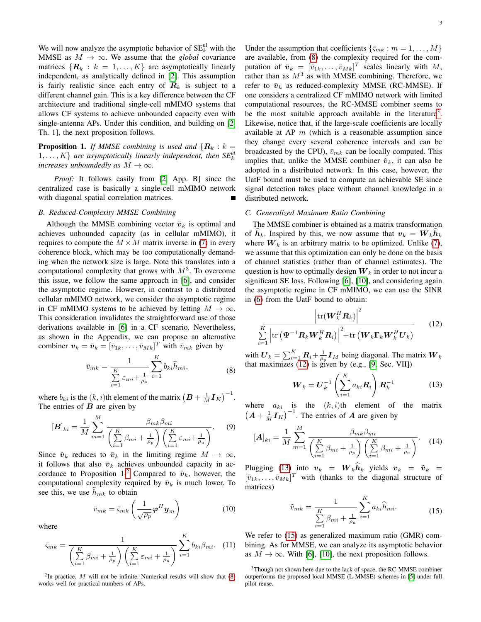We will now analyze the asymptotic behavior of  $SE_k^{\text{ul}}$  with the MMSE as  $M \to \infty$ . We assume that the *global* covariance matrices  $\{R_k : k = 1, ..., K\}$  are asymptotically linearly independent, as analytically defined in [\[2\]](#page-4-1). This assumption is fairly realistic since each entry of  $R_k$  is subject to a different channel gain. This is a key difference between the CF architecture and traditional single-cell mMIMO systems that allows CF systems to achieve unbounded capacity even with single-antenna APs. Under this condition, and building on [\[2,](#page-4-1) Th. 1], the next proposition follows.

**Proposition 1.** *If MMSE combining is used and*  $\{R_k : k = \}$  $1, \ldots, K$ } are asymptotically linearly independent, then  $SE_k^{\text{ul}}$ *increases unboundedly as*  $M \to \infty$ *.* 

*Proof:* It follows easily from [\[2,](#page-4-1) App. B] since the centralized case is basically a single-cell mMIMO network with diagonal spatial correlation matrices.

## *B. Reduced-Complexity MMSE Combining*

Although the MMSE combining vector  $\check{v}_k$  is optimal and achieves unbounded capacity (as in cellular mMIMO), it requires to compute the  $M \times M$  matrix inverse in [\(7\)](#page-1-3) in every coherence block, which may be too computationally demanding when the network size is large. Note this translates into a computational complexity that grows with  $M^3$ . To overcome this issue, we follow the same approach in [\[6\]](#page-4-5), and consider the asymptotic regime. However, in contrast to a distributed cellular mMIMO network, we consider the asymptotic regime in CF mMIMO systems to be achieved by letting  $M \to \infty$ . This consideration invalidates the straightforward use of those derivations available in [\[6\]](#page-4-5) in a CF scenario. Nevertheless, as shown in the Appendix, we can propose an alternative combiner  $v_k = \bar{v}_k = [\bar{v}_{1k}, \dots, \bar{v}_{Mk}]^T$  with  $\bar{v}_{mk}$  given by

$$
\bar{v}_{mk} = \frac{1}{\sum_{i=1}^{K} \varepsilon_{mi} + \frac{1}{\rho_u}} \sum_{i=1}^{K} b_{ki} \hat{h}_{mi},
$$
\n(8)

<span id="page-2-1"></span>where  $b_{ki}$  is the  $(k, i)$ th element of the matrix  $(B + \frac{1}{M} I_K)^{-1}$ . The entries of  $B$  are given by

$$
[\boldsymbol{B}]_{ki} = \frac{1}{M} \sum_{m=1}^{M} \frac{\beta_{mk} \beta_{mi}}{\left(\sum_{i=1}^{K} \beta_{mi} + \frac{1}{\rho_p}\right) \left(\sum_{i=1}^{K} \varepsilon_{mi} + \frac{1}{\rho_u}\right)}.
$$
 (9)

Since  $\check{\boldsymbol{v}}_k$  reduces to  $\bar{\boldsymbol{v}}_k$  in the limiting regime  $M \to \infty$ , it follows that also  $\bar{v}_k$  achieves unbounded capacity in ac-cordance to Proposition 1.<sup>[2](#page-2-0)</sup> Compared to  $\check{v}_k$ , however, the computational complexity required by  $\bar{v}_k$  is much lower. To see this, we use  $h_{mk}$  to obtain

$$
\bar{v}_{mk} = \bar{\varsigma}_{mk} \left( \frac{1}{\sqrt{\rho_p}} \boldsymbol{\varphi}^H \boldsymbol{y}_m \right) \tag{10}
$$

where

$$
\bar{\varsigma}_{mk} = \frac{1}{\left(\sum\limits_{i=1}^{K} \beta_{mi} + \frac{1}{\rho_p}\right) \left(\sum\limits_{i=1}^{K} \varepsilon_{mi} + \frac{1}{\rho_u}\right)} \sum\limits_{i=1}^{K} b_{ki} \beta_{mi}.
$$
 (11)

<span id="page-2-0"></span><sup>2</sup>In practice,  $M$  will not be infinite. Numerical results will show that  $(8)$ works well for practical numbers of APs.

Under the assumption that coefficients  $\{\bar{\varsigma}_{mk} : m = 1, \ldots, M\}$ are available, from [\(8\)](#page-2-1) the complexity required for the computation of  $\bar{v}_k = [\bar{v}_{1k}, \dots, \bar{v}_{Mk}]^T$  scales linearly with M, rather than as  $M^3$  as with MMSE combining. Therefore, we refer to  $\bar{v}_k$  as reduced-complexity MMSE (RC-MMSE). If one considers a centralized CF mMIMO network with limited computational resources, the RC-MMSE combiner seems to be the most suitable approach available in the literature<sup>[3](#page-2-2)</sup>. Likewise, notice that, if the large-scale coefficients are locally available at AP  $m$  (which is a reasonable assumption since they change every several coherence intervals and can be broadcasted by the CPU),  $\bar{v}_{mk}$  can be locally computed. This implies that, unlike the MMSE combiner  $\check{v}_k$ , it can also be adopted in a distributed network. In this case, however, the UatF bound must be used to compute an achievable SE since signal detection takes place without channel knowledge in a distributed network.

#### *C. Generalized Maximum Ratio Combining*

The MMSE combiner is obtained as a matrix transformation of  $h_k$ . Inspired by this, we now assume that  $v_k = W_k h_k$ where  $W_k$  is an arbitrary matrix to be optimized. Unlike [\(7\)](#page-1-3), we assume that this optimization can only be done on the basis of channel statistics (rather than of channel estimates). The question is how to optimally design  $W_k$  in order to not incur a significant SE loss. Following [\[6\]](#page-4-5), [\[10\]](#page-4-9), and considering again the asymptotic regime in CF mMIMO, we can use the SINR in [\(6\)](#page-1-4) from the UatF bound to obtain:

$$
\left|\text{tr}(\boldsymbol{W}_{k}^{H}\boldsymbol{R}_{k})\right|^{2} \qquad (12)
$$
\n
$$
\sum_{i=1}^{K} \left|\text{tr}\left(\boldsymbol{\Psi}^{-1}\boldsymbol{R}_{k}\boldsymbol{W}_{k}^{H}\boldsymbol{R}_{i}\right)\right|^{2} + \text{tr}\left(\boldsymbol{W}_{k}\boldsymbol{\Gamma}_{k}\boldsymbol{W}_{k}^{H}\boldsymbol{U}_{k}\right)
$$

with  $\boldsymbol{U}_k = \sum_{i=1}^K \boldsymbol{R}_i + \frac{1}{\rho_u} \boldsymbol{I}_M$  being diagonal. The matrix  $\boldsymbol{W}_k$ that maximizes [\(12\)](#page-2-3) is given by (e.g., [\[9,](#page-4-8) Sec. VII])

<span id="page-2-3"></span>
$$
W_k = U_k^{-1} \left( \sum_{i=1}^K a_{ki} R_i \right) R_k^{-1}
$$
 (13)

<span id="page-2-4"></span>where  $a_{ki}$  is the  $(k, i)$ th element of the matrix  $(A + \frac{1}{M}I_K)^{-1}$ . The entries of A are given by

$$
[\mathbf{A}]_{ki} = \frac{1}{M} \sum_{m=1}^{M} \frac{\beta_{mk} \beta_{mi}}{\left(\sum_{i=1}^{K} \beta_{mi} + \frac{1}{\rho_p}\right) \left(\sum_{i=1}^{K} \beta_{mi} + \frac{1}{\rho_u}\right)}.
$$
 (14)

Plugging [\(13\)](#page-2-4) into  $v_k = W_k h_k$  yields  $v_k = \tilde{v}_k =$  $[\tilde{v}_{1k}, \dots, \tilde{v}_{Mk}]^T$  with (thanks to the diagonal structure of matrices)

$$
\tilde{v}_{mk} = \frac{1}{\sum_{i=1}^{K} \beta_{mi} + \frac{1}{\rho_u}} \sum_{i=1}^{K} a_{ki} \hat{h}_{mi}.
$$
 (15)

<span id="page-2-5"></span>We refer to  $(15)$  as generalized maximum ratio (GMR) combining. As for MMSE, we can analyze its asymptotic behavior as  $M \to \infty$ . With [\[6\]](#page-4-5), [\[10\]](#page-4-9), the next proposition follows.

<span id="page-2-2"></span><sup>3</sup>Though not shown here due to the lack of space, the RC-MMSE combiner outperforms the proposed local MMSE (L-MMSE) schemes in [\[5\]](#page-4-4) under full pilot reuse.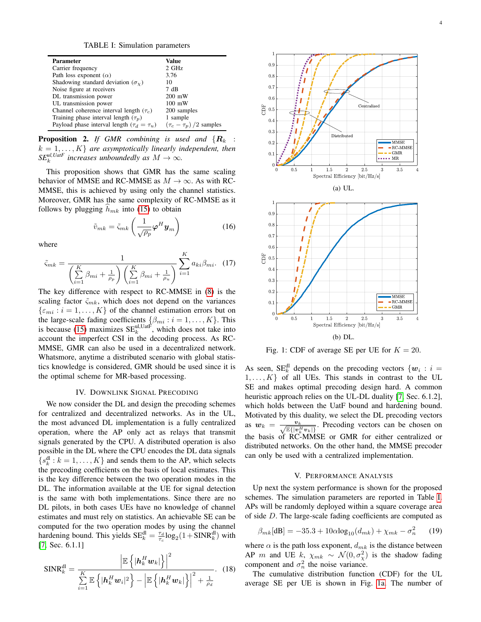TABLE I: Simulation parameters

<span id="page-3-0"></span>

| <b>Parameter</b>                                  | Value                         |
|---------------------------------------------------|-------------------------------|
| Carrier frequency                                 | 2 GHz                         |
| Path loss exponent $(\alpha)$                     | 3.76                          |
| Shadowing standard deviation $(\sigma_{\gamma})$  | 10                            |
| Noise figure at receivers                         | 7 dB                          |
| DL transmission power                             | $200$ mW                      |
| UL transmission power                             | $100$ mW                      |
| Channel coherence interval length $(\tau_c)$      | 200 samples                   |
| Training phase interval length $(\tau_p)$         | 1 sample                      |
| Payload phase interval length $(\tau_d = \tau_u)$ | $(\tau_c - \tau_p)/2$ samples |

**Proposition 2.** If GMR combining is used and  $\{R_k\}$ :  $k = 1, \ldots, K$  *are asymptotically linearly independent, then*  $SE_k^{ul,UatF}$  increases unboundedly as  $M \to \infty$ .

This proposition shows that GMR has the same scaling behavior of MMSE and RC-MMSE as  $M \to \infty$ . As with RC-MMSE, this is achieved by using only the channel statistics. Moreover, GMR has the same complexity of RC-MMSE as it follows by plugging  $h_{mk}$  into [\(15\)](#page-2-5) to obtain

$$
\tilde{v}_{mk} = \tilde{\varsigma}_{mk} \left( \frac{1}{\sqrt{\rho_p}} \boldsymbol{\varphi}^H \boldsymbol{y}_m \right) \tag{16}
$$

where

$$
\tilde{\varsigma}_{mk} = \frac{1}{\left(\sum\limits_{i=1}^{K} \beta_{mi} + \frac{1}{\rho_p}\right) \left(\sum\limits_{i=1}^{K} \beta_{mi} + \frac{1}{\rho_u}\right)} \sum\limits_{i=1}^{K} a_{ki} \beta_{mi}.
$$
 (17)

The key difference with respect to RC-MMSE in [\(8\)](#page-2-1) is the scaling factor  $\tilde{\varsigma}_{mk}$ , which does not depend on the variances  $\{\varepsilon_{mi}: i = 1, \ldots, K\}$  of the channel estimation errors but on the large-scale fading coefficients  $\{\beta_{mi} : i = 1, \dots, K\}$ . This is because [\(15\)](#page-2-5) maximizes  $SE_k^{\text{ul,UatF}}$ , which does not take into account the imperfect CSI in the decoding process. As RC-MMSE, GMR can also be used in a decentralized network. Whatsmore, anytime a distributed scenario with global statistics knowledge is considered, GMR should be used since it is the optimal scheme for MR-based processing.

## IV. DOWNLINK SIGNAL PRECODING

We now consider the DL and design the precoding schemes for centralized and decentralized networks. As in the UL, the most advanced DL implementation is a fully centralized operation, where the AP only act as relays that transmit signals generated by the CPU. A distributed operation is also possible in the DL where the CPU encodes the DL data signals  $\{s_k^{\text{dl}}: k = 1, \dots, K\}$  and sends them to the AP, which selects the precoding coefficients on the basis of local estimates. This is the key difference between the two operation modes in the DL. The information available at the UE for signal detection is the same with both implementations. Since there are no DL pilots, in both cases UEs have no knowledge of channel estimates and must rely on statistics. An achievable SE can be computed for the two operation modes by using the channel hardening bound. This yields  $SE_k^{\text{dl}} = \frac{\tau_d}{\tau_c} \log_2(1 + SINR_k^{\text{dl}})$  with [\[7,](#page-4-6) Sec. 6.1.1]

$$
\text{SINR}_{k}^{\text{dl}} = \frac{\left| \mathbb{E}\left\{ \left| \boldsymbol{h}_{k}^{H} \boldsymbol{w}_{k} \right| \right\} \right|^{2}}{\sum\limits_{i=1}^{K} \mathbb{E}\left\{ \left| \boldsymbol{h}_{k}^{H} \boldsymbol{w}_{i} \right|^{2} \right\} - \left| \mathbb{E}\left\{ \left| \boldsymbol{h}_{k}^{H} \boldsymbol{w}_{k} \right| \right\} \right|^{2} + \frac{1}{\rho_{d}}}. \quad (18)
$$

<span id="page-3-1"></span>

Fig. 1: CDF of average SE per UE for  $K = 20$ .

As seen,  $SE_k^{\text{dl}}$  depends on the precoding vectors  $\{w_i : i =$  $1, \ldots, K$  of all UEs. This stands in contrast to the UL SE and makes optimal precoding design hard. A common heuristic approach relies on the UL-DL duality [\[7,](#page-4-6) Sec. 6.1.2], which holds between the UatF bound and hardening bound. Motivated by this duality, we select the DL precoding vectors as  $w_k = \frac{v_k}{\sqrt{\mathbb{E}\{|v_k^H v_k|\}}}$ . Precoding vectors can be chosen on the basis of RC-MMSE or GMR for either centralized or distributed networks. On the other hand, the MMSE precoder can only be used with a centralized implementation.

## V. PERFORMANCE ANALYSIS

Up next the system performance is shown for the proposed schemes. The simulation parameters are reported in Table [I.](#page-3-0) APs will be randomly deployed within a square coverage area of side D. The large-scale fading coefficients are computed as

$$
\beta_{mk}[\text{dB}] = -35.3 + 10\alpha \log_{10}(d_{mk}) + \chi_{mk} - \sigma_n^2 \qquad (19)
$$

where  $\alpha$  is the path loss exponent,  $d_{mk}$  is the distance between AP m and UE k,  $\chi_{mk} \sim \mathcal{N}(0, \sigma_{\chi}^2)$  is the shadow fading component and  $\sigma_n^2$  the noise variance.

The cumulative distribution function (CDF) for the UL average SE per UE is shown in Fig. [1a.](#page-3-1) The number of